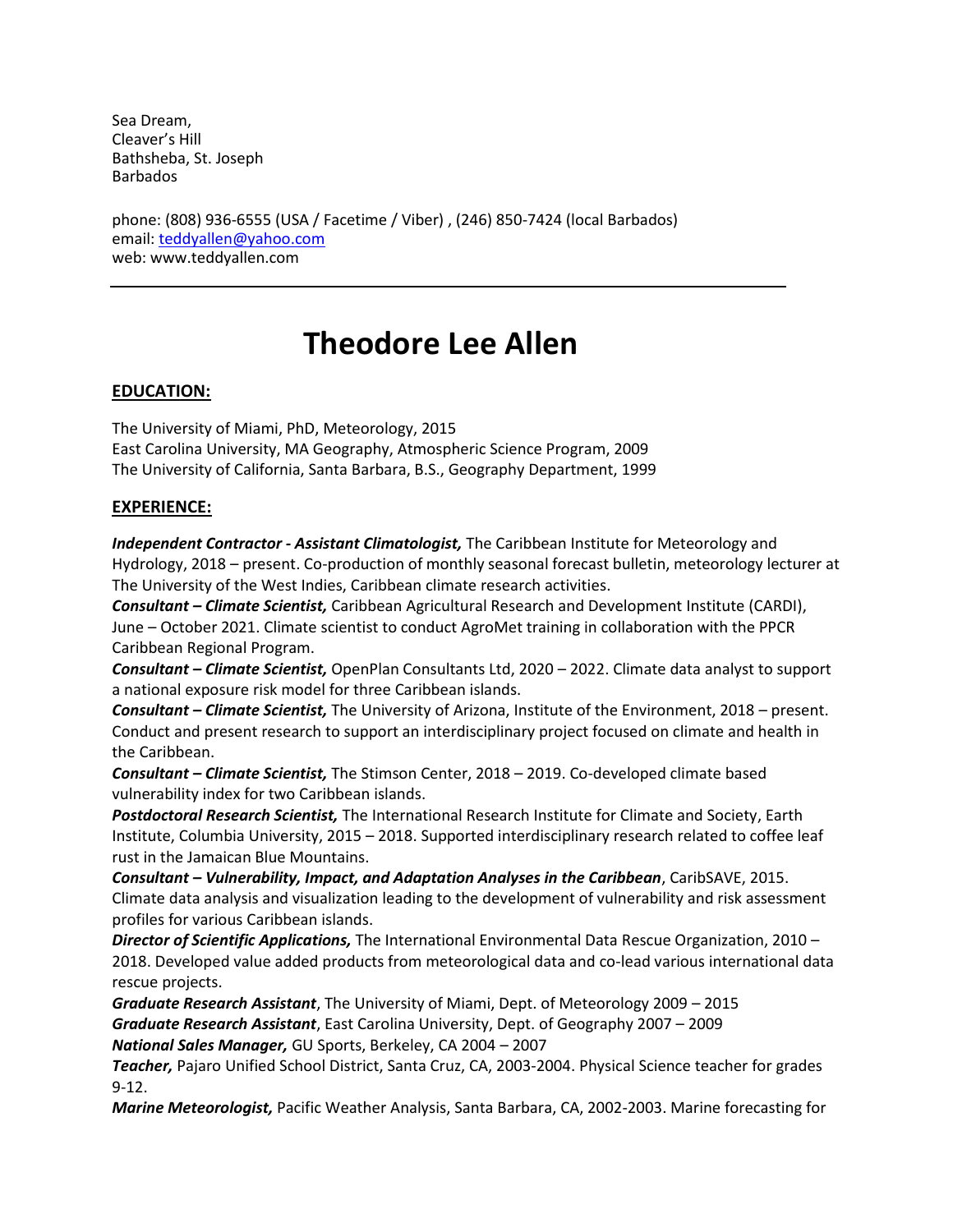Sea Dream, Cleaver's Hill Bathsheba, St. Joseph Barbados

phone: (808) 936-6555 (USA / Facetime / Viber) , (246) 850-7424 (local Barbados) email: [teddyallen@yahoo.com](mailto:teddyallen@yahoo.com) web: www.teddyallen.com

# **Theodore Lee Allen**

#### **EDUCATION:**

The University of Miami, PhD, Meteorology, 2015 East Carolina University, MA Geography, Atmospheric Science Program, 2009 The University of California, Santa Barbara, B.S., Geography Department, 1999

#### **EXPERIENCE:**

*Independent Contractor - Assistant Climatologist,* The Caribbean Institute for Meteorology and Hydrology, 2018 – present. Co-production of monthly seasonal forecast bulletin, meteorology lecturer at The University of the West Indies, Caribbean climate research activities.

*Consultant – Climate Scientist,* Caribbean Agricultural Research and Development Institute (CARDI), June – October 2021. Climate scientist to conduct AgroMet training in collaboration with the PPCR Caribbean Regional Program.

*Consultant – Climate Scientist,* OpenPlan Consultants Ltd, 2020 – 2022. Climate data analyst to support a national exposure risk model for three Caribbean islands.

*Consultant – Climate Scientist,* The University of Arizona, Institute of the Environment, 2018 – present. Conduct and present research to support an interdisciplinary project focused on climate and health in the Caribbean.

*Consultant – Climate Scientist,* The Stimson Center, 2018 – 2019. Co-developed climate based vulnerability index for two Caribbean islands.

*Postdoctoral Research Scientist,* The International Research Institute for Climate and Society, Earth Institute, Columbia University, 2015 – 2018. Supported interdisciplinary research related to coffee leaf rust in the Jamaican Blue Mountains.

*Consultant – Vulnerability, Impact, and Adaptation Analyses in the Caribbean*, CaribSAVE, 2015. Climate data analysis and visualization leading to the development of vulnerability and risk assessment profiles for various Caribbean islands.

*Director of Scientific Applications,* The International Environmental Data Rescue Organization, 2010 – 2018. Developed value added products from meteorological data and co-lead various international data rescue projects.

*Graduate Research Assistant*, The University of Miami, Dept. of Meteorology 2009 – 2015 *Graduate Research Assistant*, East Carolina University, Dept. of Geography 2007 – 2009 *National Sales Manager,* GU Sports, Berkeley, CA 2004 – 2007

*Teacher,* Pajaro Unified School District, Santa Cruz, CA, 2003-2004. Physical Science teacher for grades 9-12.

*Marine Meteorologist,* Pacific Weather Analysis, Santa Barbara, CA, 2002-2003. Marine forecasting for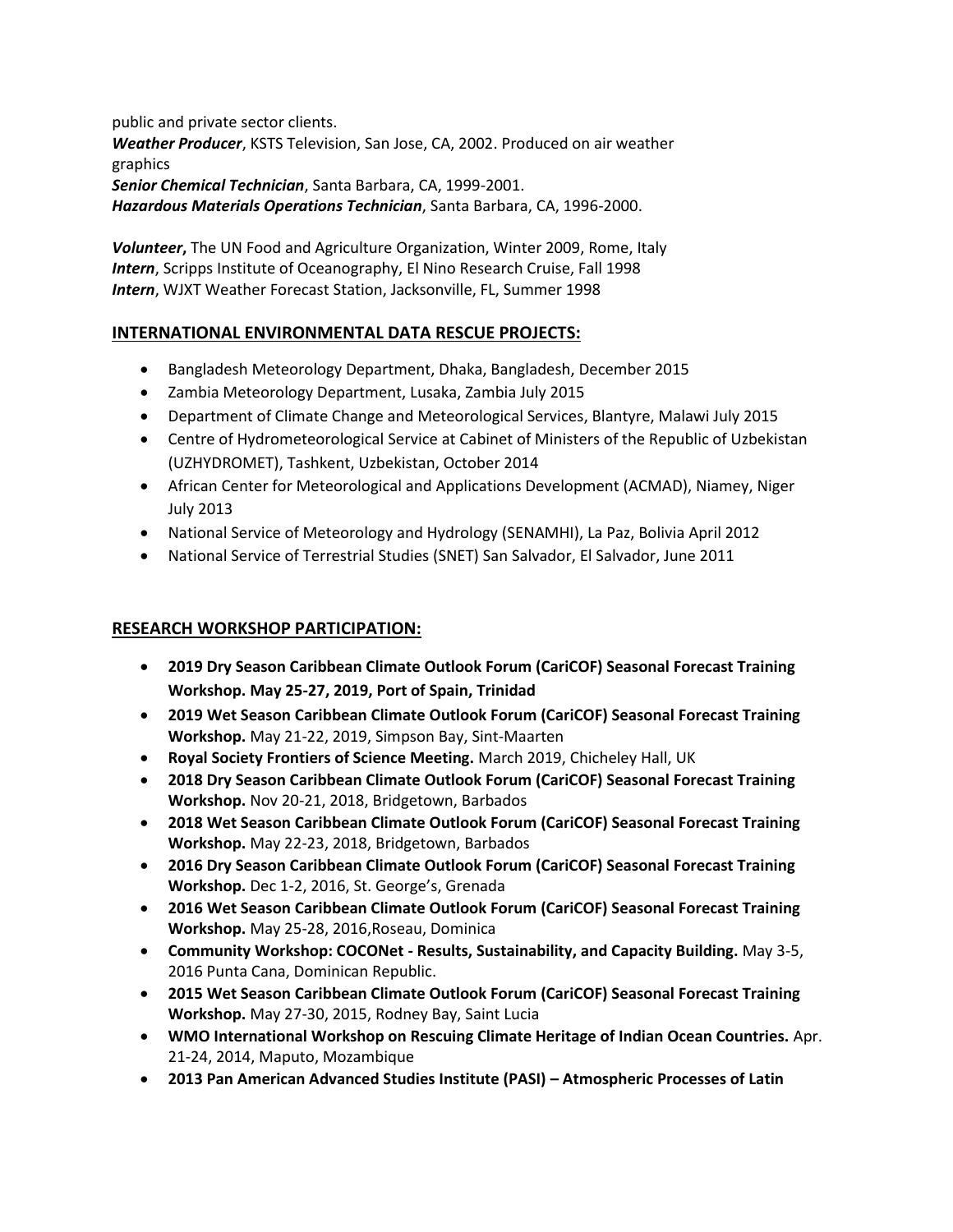public and private sector clients. *Weather Producer*, KSTS Television, San Jose, CA, 2002. Produced on air weather graphics *Senior Chemical Technician*, Santa Barbara, CA, 1999-2001. *Hazardous Materials Operations Technician*, Santa Barbara, CA, 1996-2000.

*Volunteer***,** The UN Food and Agriculture Organization, Winter 2009, Rome, Italy *Intern*, Scripps Institute of Oceanography, El Nino Research Cruise, Fall 1998 *Intern*, WJXT Weather Forecast Station, Jacksonville, FL, Summer 1998

## **INTERNATIONAL ENVIRONMENTAL DATA RESCUE PROJECTS:**

- Bangladesh Meteorology Department, Dhaka, Bangladesh, December 2015
- Zambia Meteorology Department, Lusaka, Zambia July 2015
- Department of Climate Change and Meteorological Services, Blantyre, Malawi July 2015
- Centre of Hydrometeorological Service at Cabinet of Ministers of the Republic of Uzbekistan (UZHYDROMET), Tashkent, Uzbekistan, October 2014
- African Center for Meteorological and Applications Development (ACMAD), Niamey, Niger July 2013
- National Service of Meteorology and Hydrology (SENAMHI), La Paz, Bolivia April 2012
- National Service of Terrestrial Studies (SNET) San Salvador, El Salvador, June 2011

## **RESEARCH WORKSHOP PARTICIPATION:**

- **2019 Dry Season Caribbean Climate Outlook Forum (CariCOF) Seasonal Forecast Training Workshop. May 25-27, 2019, Port of Spain, Trinidad**
- **2019 Wet Season Caribbean Climate Outlook Forum (CariCOF) Seasonal Forecast Training Workshop.** May 21-22, 2019, Simpson Bay, Sint-Maarten
- **Royal Society Frontiers of Science Meeting.** March 2019, Chicheley Hall, UK
- **2018 Dry Season Caribbean Climate Outlook Forum (CariCOF) Seasonal Forecast Training Workshop.** Nov 20-21, 2018, Bridgetown, Barbados
- **2018 Wet Season Caribbean Climate Outlook Forum (CariCOF) Seasonal Forecast Training Workshop.** May 22-23, 2018, Bridgetown, Barbados
- **2016 Dry Season Caribbean Climate Outlook Forum (CariCOF) Seasonal Forecast Training Workshop.** Dec 1-2, 2016, St. George's, Grenada
- **2016 Wet Season Caribbean Climate Outlook Forum (CariCOF) Seasonal Forecast Training Workshop.** May 25-28, 2016,Roseau, Dominica
- **Community Workshop: COCONet - Results, Sustainability, and Capacity Building.** May 3-5, 2016 Punta Cana, Dominican Republic.
- **2015 Wet Season Caribbean Climate Outlook Forum (CariCOF) Seasonal Forecast Training Workshop.** May 27-30, 2015, Rodney Bay, Saint Lucia
- **WMO International Workshop on Rescuing Climate Heritage of Indian Ocean Countries.** Apr. 21-24, 2014, Maputo, Mozambique
- **2013 Pan American Advanced Studies Institute (PASI) – Atmospheric Processes of Latin**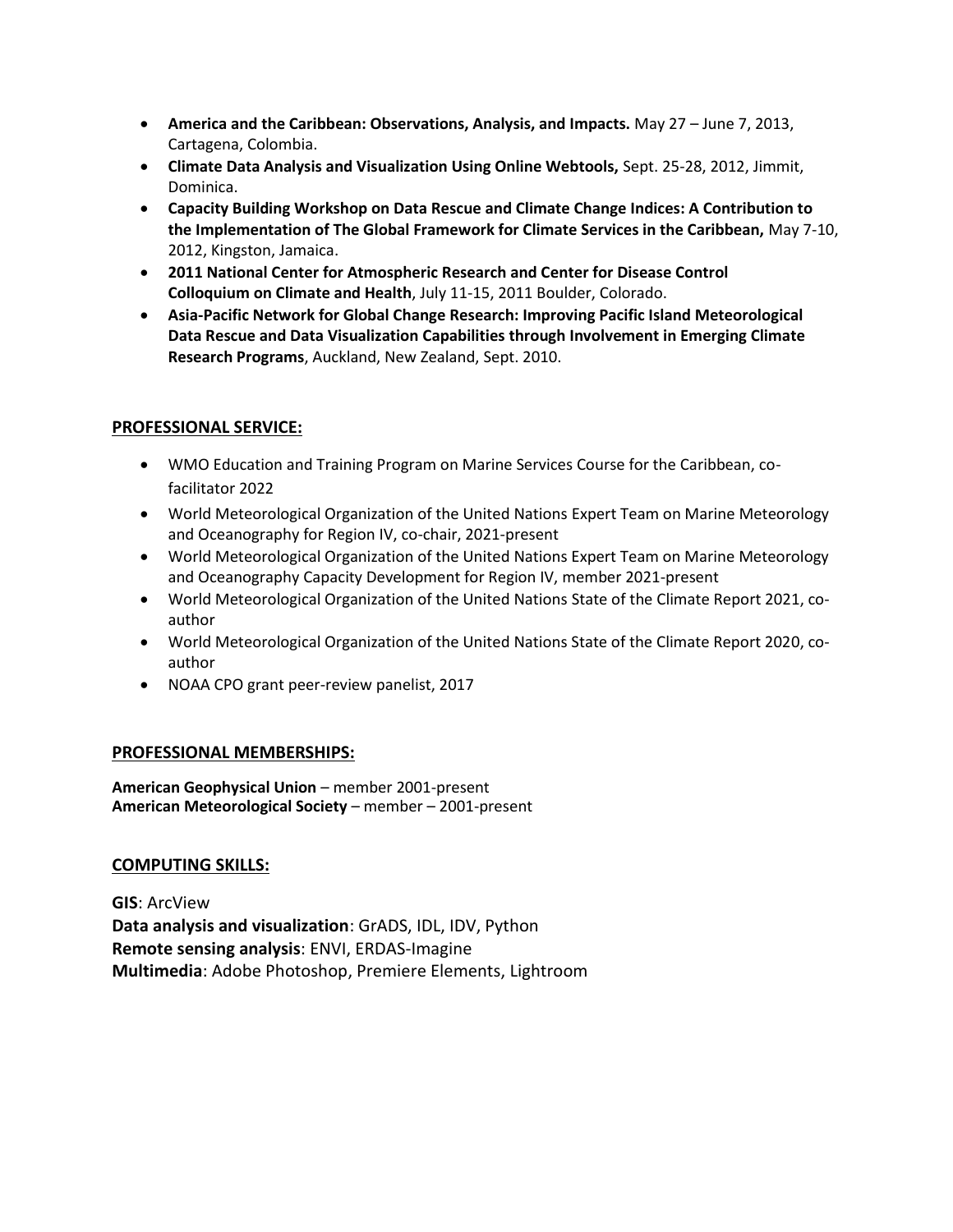- **America and the Caribbean: Observations, Analysis, and Impacts.** May 27 June 7, 2013, Cartagena, Colombia.
- **Climate Data Analysis and Visualization Using Online Webtools,** Sept. 25-28, 2012, Jimmit, Dominica.
- **Capacity Building Workshop on Data Rescue and Climate Change Indices: A Contribution to the Implementation of The Global Framework for Climate Services in the Caribbean,** May 7-10, 2012, Kingston, Jamaica.
- **2011 National Center for Atmospheric Research and Center for Disease Control Colloquium on Climate and Health**, July 11-15, 2011 Boulder, Colorado.
- **Asia-Pacific Network for Global Change Research: Improving Pacific Island Meteorological Data Rescue and Data Visualization Capabilities through Involvement in Emerging Climate Research Programs**, Auckland, New Zealand, Sept. 2010.

### **PROFESSIONAL SERVICE:**

- WMO Education and Training Program on Marine Services Course for the Caribbean, cofacilitator 2022
- World Meteorological Organization of the United Nations Expert Team on Marine Meteorology and Oceanography for Region IV, co-chair, 2021-present
- World Meteorological Organization of the United Nations Expert Team on Marine Meteorology and Oceanography Capacity Development for Region IV, member 2021-present
- World Meteorological Organization of the United Nations State of the Climate Report 2021, coauthor
- World Meteorological Organization of the United Nations State of the Climate Report 2020, coauthor
- NOAA CPO grant peer-review panelist, 2017

#### **PROFESSIONAL MEMBERSHIPS:**

American Geophysical Union – member 2001-present **American Meteorological Society** – member – 2001-present

#### **COMPUTING SKILLS:**

**GIS**: ArcView **Data analysis and visualization**: GrADS, IDL, IDV, Python **Remote sensing analysis**: ENVI, ERDAS-Imagine **Multimedia**: Adobe Photoshop, Premiere Elements, Lightroom